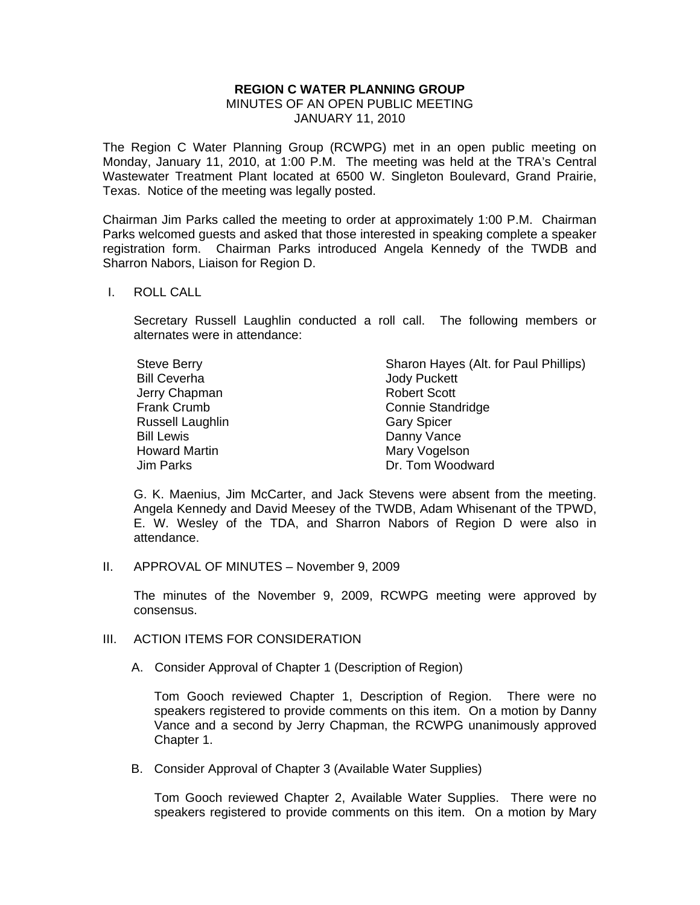## **REGION C WATER PLANNING GROUP**  MINUTES OF AN OPEN PUBLIC MEETING JANUARY 11, 2010

The Region C Water Planning Group (RCWPG) met in an open public meeting on Monday, January 11, 2010, at 1:00 P.M. The meeting was held at the TRA's Central Wastewater Treatment Plant located at 6500 W. Singleton Boulevard, Grand Prairie, Texas. Notice of the meeting was legally posted.

Chairman Jim Parks called the meeting to order at approximately 1:00 P.M. Chairman Parks welcomed guests and asked that those interested in speaking complete a speaker registration form. Chairman Parks introduced Angela Kennedy of the TWDB and Sharron Nabors, Liaison for Region D.

## I. ROLL CALL

 Secretary Russell Laughlin conducted a roll call. The following members or alternates were in attendance:

| Steve Berry         | Sharon Hayes (Alt. for Paul Phillips) |
|---------------------|---------------------------------------|
| <b>Bill Ceverha</b> | <b>Jody Puckett</b>                   |
| Jerry Chapman       | <b>Robert Scott</b>                   |
| Frank Crumb         | <b>Connie Standridge</b>              |
| Russell Laughlin    | <b>Gary Spicer</b>                    |
| <b>Bill Lewis</b>   | Danny Vance                           |
| Howard Martin       | Mary Vogelson                         |
| Jim Parks           | Dr. Tom Woodward                      |

 G. K. Maenius, Jim McCarter, and Jack Stevens were absent from the meeting. Angela Kennedy and David Meesey of the TWDB, Adam Whisenant of the TPWD, E. W. Wesley of the TDA, and Sharron Nabors of Region D were also in attendance.

II. APPROVAL OF MINUTES – November 9, 2009

The minutes of the November 9, 2009, RCWPG meeting were approved by consensus.

- III. ACTION ITEMS FOR CONSIDERATION
	- A. Consider Approval of Chapter 1 (Description of Region)

Tom Gooch reviewed Chapter 1, Description of Region. There were no speakers registered to provide comments on this item. On a motion by Danny Vance and a second by Jerry Chapman, the RCWPG unanimously approved Chapter 1.

B. Consider Approval of Chapter 3 (Available Water Supplies)

Tom Gooch reviewed Chapter 2, Available Water Supplies. There were no speakers registered to provide comments on this item. On a motion by Mary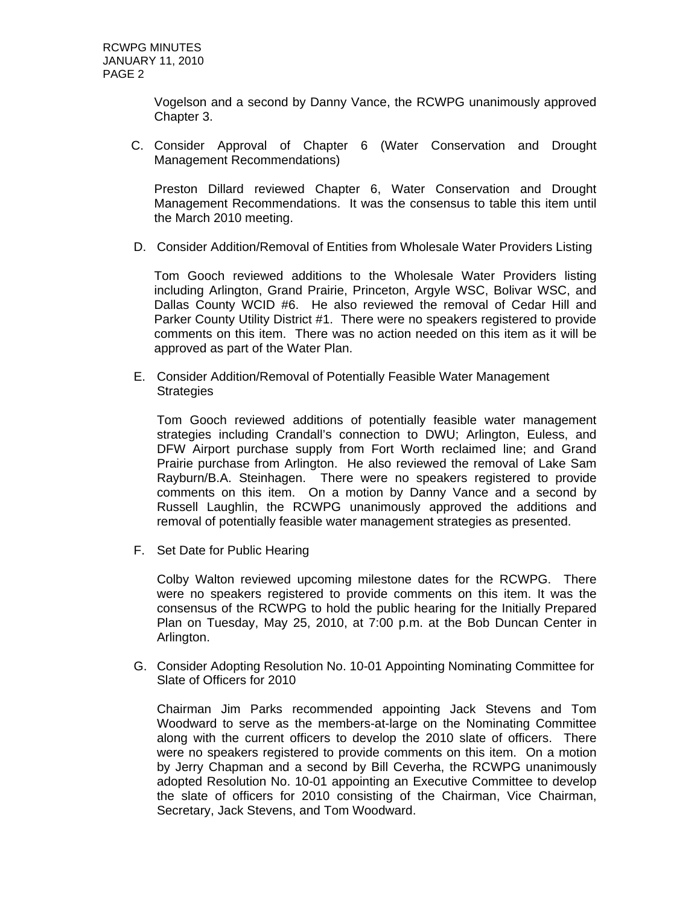Vogelson and a second by Danny Vance, the RCWPG unanimously approved Chapter 3.

C. Consider Approval of Chapter 6 (Water Conservation and Drought Management Recommendations)

Preston Dillard reviewed Chapter 6, Water Conservation and Drought Management Recommendations. It was the consensus to table this item until the March 2010 meeting.

D. Consider Addition/Removal of Entities from Wholesale Water Providers Listing

Tom Gooch reviewed additions to the Wholesale Water Providers listing including Arlington, Grand Prairie, Princeton, Argyle WSC, Bolivar WSC, and Dallas County WCID #6. He also reviewed the removal of Cedar Hill and Parker County Utility District #1. There were no speakers registered to provide comments on this item. There was no action needed on this item as it will be approved as part of the Water Plan.

E. Consider Addition/Removal of Potentially Feasible Water Management **Strategies** 

Tom Gooch reviewed additions of potentially feasible water management strategies including Crandall's connection to DWU; Arlington, Euless, and DFW Airport purchase supply from Fort Worth reclaimed line; and Grand Prairie purchase from Arlington. He also reviewed the removal of Lake Sam Rayburn/B.A. Steinhagen. There were no speakers registered to provide comments on this item. On a motion by Danny Vance and a second by Russell Laughlin, the RCWPG unanimously approved the additions and removal of potentially feasible water management strategies as presented.

F. Set Date for Public Hearing

Colby Walton reviewed upcoming milestone dates for the RCWPG. There were no speakers registered to provide comments on this item. It was the consensus of the RCWPG to hold the public hearing for the Initially Prepared Plan on Tuesday, May 25, 2010, at 7:00 p.m. at the Bob Duncan Center in Arlington.

G. Consider Adopting Resolution No. 10-01 Appointing Nominating Committee for Slate of Officers for 2010

Chairman Jim Parks recommended appointing Jack Stevens and Tom Woodward to serve as the members-at-large on the Nominating Committee along with the current officers to develop the 2010 slate of officers. There were no speakers registered to provide comments on this item. On a motion by Jerry Chapman and a second by Bill Ceverha, the RCWPG unanimously adopted Resolution No. 10-01 appointing an Executive Committee to develop the slate of officers for 2010 consisting of the Chairman, Vice Chairman, Secretary, Jack Stevens, and Tom Woodward.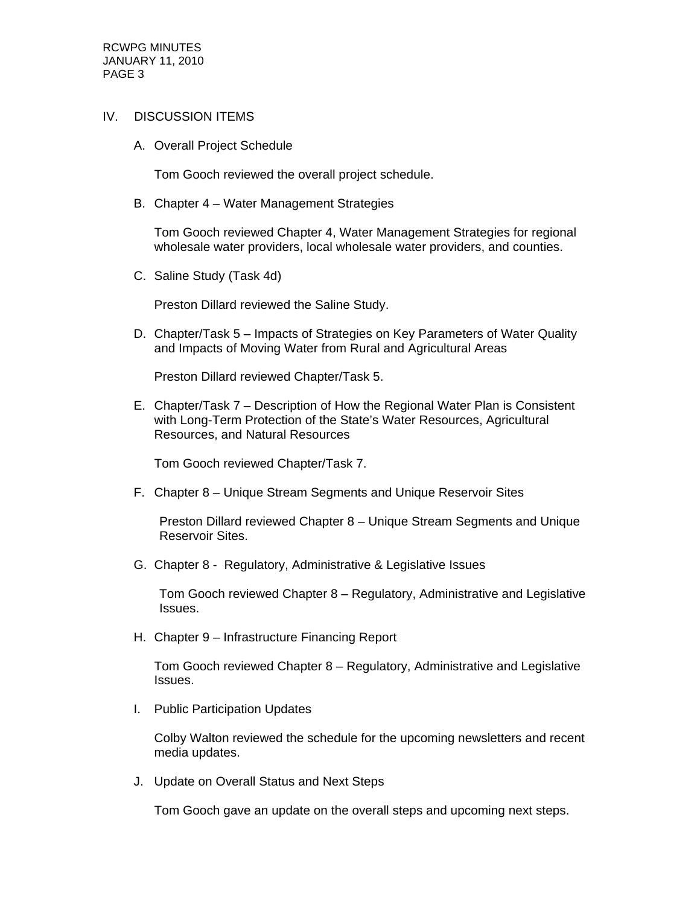RCWPG MINUTES JANUARY 11, 2010 PAGE 3

## IV. DISCUSSION ITEMS

A. Overall Project Schedule

Tom Gooch reviewed the overall project schedule.

B. Chapter 4 – Water Management Strategies

Tom Gooch reviewed Chapter 4, Water Management Strategies for regional wholesale water providers, local wholesale water providers, and counties.

C. Saline Study (Task 4d)

Preston Dillard reviewed the Saline Study.

D. Chapter/Task 5 – Impacts of Strategies on Key Parameters of Water Quality and Impacts of Moving Water from Rural and Agricultural Areas

Preston Dillard reviewed Chapter/Task 5.

E. Chapter/Task 7 – Description of How the Regional Water Plan is Consistent with Long-Term Protection of the State's Water Resources, Agricultural Resources, and Natural Resources

Tom Gooch reviewed Chapter/Task 7.

F. Chapter 8 – Unique Stream Segments and Unique Reservoir Sites

 Preston Dillard reviewed Chapter 8 – Unique Stream Segments and Unique Reservoir Sites.

G. Chapter 8 - Regulatory, Administrative & Legislative Issues

 Tom Gooch reviewed Chapter 8 – Regulatory, Administrative and Legislative Issues.

H. Chapter 9 – Infrastructure Financing Report

Tom Gooch reviewed Chapter 8 – Regulatory, Administrative and Legislative Issues.

I. Public Participation Updates

Colby Walton reviewed the schedule for the upcoming newsletters and recent media updates.

J. Update on Overall Status and Next Steps

Tom Gooch gave an update on the overall steps and upcoming next steps.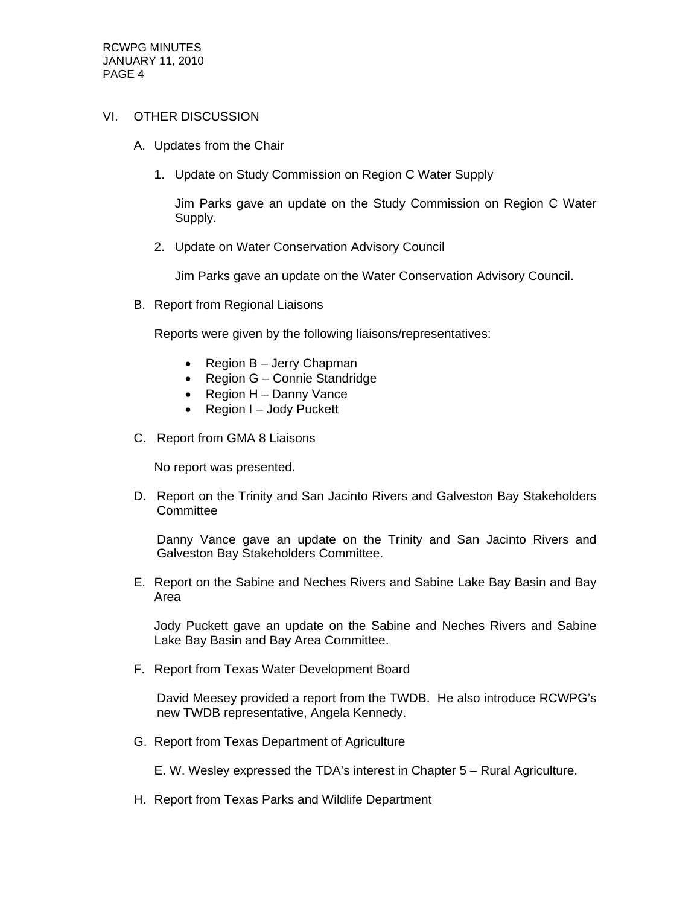## VI. OTHER DISCUSSION

- A. Updates from the Chair
	- 1. Update on Study Commission on Region C Water Supply

Jim Parks gave an update on the Study Commission on Region C Water Supply.

2. Update on Water Conservation Advisory Council

Jim Parks gave an update on the Water Conservation Advisory Council.

B. Report from Regional Liaisons

Reports were given by the following liaisons/representatives:

- Region B Jerry Chapman
- Region G Connie Standridge
- $\bullet$  Region H Danny Vance
- Region I Jody Puckett
- C. Report from GMA 8 Liaisons

No report was presented.

D. Report on the Trinity and San Jacinto Rivers and Galveston Bay Stakeholders **Committee** 

Danny Vance gave an update on the Trinity and San Jacinto Rivers and Galveston Bay Stakeholders Committee.

E. Report on the Sabine and Neches Rivers and Sabine Lake Bay Basin and Bay Area

Jody Puckett gave an update on the Sabine and Neches Rivers and Sabine Lake Bay Basin and Bay Area Committee.

F. Report from Texas Water Development Board

David Meesey provided a report from the TWDB. He also introduce RCWPG's new TWDB representative, Angela Kennedy.

G. Report from Texas Department of Agriculture

E. W. Wesley expressed the TDA's interest in Chapter 5 – Rural Agriculture.

H. Report from Texas Parks and Wildlife Department